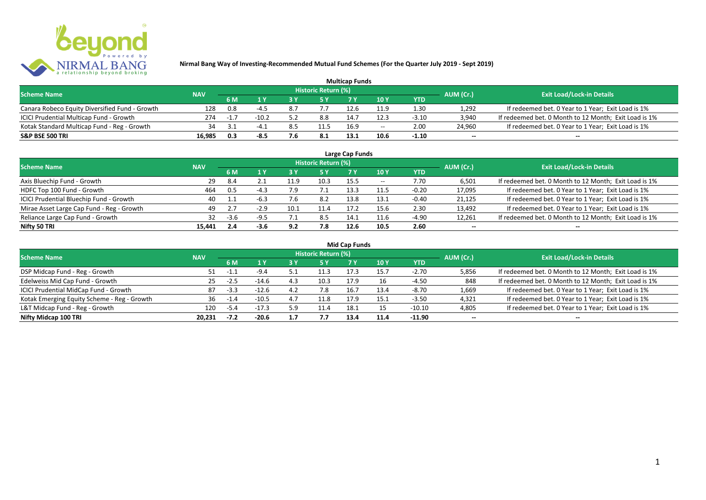

| <b>Multicap Funds</b>                          |            |           |         |     |                            |      |                          |         |                          |                                                       |  |  |  |  |
|------------------------------------------------|------------|-----------|---------|-----|----------------------------|------|--------------------------|---------|--------------------------|-------------------------------------------------------|--|--|--|--|
| <b>Scheme Name</b>                             | <b>NAV</b> |           |         |     | <b>Historic Return (%)</b> |      |                          |         | AUM (Cr.)                | <b>Exit Load/Lock-in Details</b>                      |  |  |  |  |
|                                                |            | 6 M       |         |     |                            |      | 10Y                      | YTD     |                          |                                                       |  |  |  |  |
| Canara Robeco Equity Diversified Fund - Growth | 128        | 0.8       |         |     |                            |      | 11.9                     | 1.30    | 1,292                    | If redeemed bet. 0 Year to 1 Year; Exit Load is 1%    |  |  |  |  |
| ICICI Prudential Multicap Fund - Growth        | 274        | $-1$ $-7$ | $-10.2$ |     | 8.8                        | 14.7 | 12.3                     | $-3.10$ | 3,940                    | If redeemed bet. 0 Month to 12 Month; Exit Load is 1% |  |  |  |  |
| Kotak Standard Multicap Fund - Reg - Growth    |            |           |         | 8.5 | 11.5                       | 16.9 | $\overline{\phantom{a}}$ | 2.00    | 24,960                   | If redeemed bet. 0 Year to 1 Year; Exit Load is 1%    |  |  |  |  |
| S&P BSE 500 TRI                                | 16.985     | 0.3       | -8.5    | 7.6 | 8.1                        | 13.1 | 10.6                     | $-1.10$ | $\overline{\phantom{a}}$ | $\overline{\phantom{a}}$                              |  |  |  |  |

| Large Cap Funds<br>Historic Return (%)    |            |        |        |      |       |      |       |            |                          |                                                       |  |  |  |  |
|-------------------------------------------|------------|--------|--------|------|-------|------|-------|------------|--------------------------|-------------------------------------------------------|--|--|--|--|
| <b>Scheme Name</b>                        | <b>NAV</b> | 6 M    | 1 ١    | 3 Y  | 5 Y   |      | 10 Y  | <b>YTD</b> | AUM (Cr.)                | <b>Exit Load/Lock-in Details</b>                      |  |  |  |  |
| Axis Bluechip Fund - Growth               | 29         | 8.4    |        | 11.9 | 10.3  | 15.5 | $- -$ | 7.70       | 6,501                    | If redeemed bet. 0 Month to 12 Month; Exit Load is 1% |  |  |  |  |
| HDFC Top 100 Fund - Growth                | 464        | 0.5    | $-4.3$ | 7.9  |       | 13.3 | 11.5  | $-0.20$    | 17,095                   | If redeemed bet. 0 Year to 1 Year; Exit Load is 1%    |  |  |  |  |
| ICICI Prudential Bluechip Fund - Growth   | 40         | 1.1    | $-6.3$ | 7.6  | 8.2   | 13.8 | 13.1  | $-0.40$    | 21,125                   | If redeemed bet. 0 Year to 1 Year; Exit Load is 1%    |  |  |  |  |
| Mirae Asset Large Cap Fund - Reg - Growth | 49         | 2.7    | $-2.9$ | 10.1 | 11.4  |      | 15.6  | 2.30       | 13,492                   | If redeemed bet. 0 Year to 1 Year; Exit Load is 1%    |  |  |  |  |
| Reliance Large Cap Fund - Growth          | 32         | $-3.6$ | $-9.5$ |      | - 8.5 | 14.1 | 11.6  | -4.90      | 12,261                   | If redeemed bet. 0 Month to 12 Month; Exit Load is 1% |  |  |  |  |
| Nifty 50 TRI                              | 15.441     | 2.4    | $-3.6$ | 9.2  | 7.8   | 12.6 | 10.5  | 2.60       | $\overline{\phantom{a}}$ | $\overline{\phantom{a}}$                              |  |  |  |  |

| <b>Mid Cap Funds</b>                        |            |        |           |     |                            |      |       |          |                          |                                                       |  |  |  |  |
|---------------------------------------------|------------|--------|-----------|-----|----------------------------|------|-------|----------|--------------------------|-------------------------------------------------------|--|--|--|--|
| <b>Scheme Name</b>                          | <b>NAV</b> |        |           |     | <b>Historic Return (%)</b> |      |       |          | AUM (Cr.)                | <b>Exit Load/Lock-in Details</b>                      |  |  |  |  |
|                                             |            | 6 M    | <b>1Y</b> |     | -5 Y                       | 7 Y  | '10 Y | YTD      |                          |                                                       |  |  |  |  |
| DSP Midcap Fund - Reg - Growth              | 51         |        | $-9.4$    |     | 11.3                       |      | 15.7  | $-2.70$  | 5,856                    | If redeemed bet. 0 Month to 12 Month; Exit Load is 1% |  |  |  |  |
| Edelweiss Mid Cap Fund - Growth             | -25        | $-2.5$ | $-14.6$   | 4.3 | 10.3                       | 17.9 | 16    | $-4.50$  | 848                      | If redeemed bet. 0 Month to 12 Month; Exit Load is 1% |  |  |  |  |
| ICICI Prudential MidCap Fund - Growth       | 87         | $-3.3$ | $-12.6$   | 4.2 | 7.8                        | 16.7 | 13.4  | $-8.70$  | 1,669                    | If redeemed bet. 0 Year to 1 Year; Exit Load is 1%    |  |  |  |  |
| Kotak Emerging Equity Scheme - Reg - Growth | 36         | $-1.4$ | $-10.5$   | 4.7 | 11.8                       | 17.9 | 15.1  | $-3.50$  | 4,321                    | If redeemed bet. 0 Year to 1 Year; Exit Load is 1%    |  |  |  |  |
| L&T Midcap Fund - Reg - Growth              | 120        | $-5.4$ | $-17.3$   | 5.9 | 11.4                       | 18.1 |       | $-10.10$ | 4,805                    | If redeemed bet. 0 Year to 1 Year; Exit Load is 1%    |  |  |  |  |
| Nifty Midcap 100 TRI                        | 20.231     | $-7.2$ | $-20.6$   | 1.7 | 7.7                        | 13.4 | 11.4  | $-11.90$ | $\overline{\phantom{a}}$ | $- -$                                                 |  |  |  |  |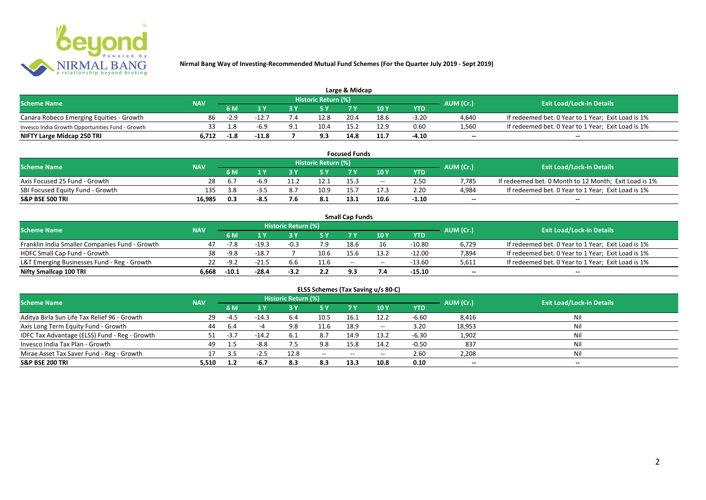

| Large & Midcap                                   |            |        |         |  |                     |      |      |         |           |                                                    |  |  |  |  |
|--------------------------------------------------|------------|--------|---------|--|---------------------|------|------|---------|-----------|----------------------------------------------------|--|--|--|--|
| <b>Scheme Name</b>                               | <b>NAV</b> |        |         |  | Historic Return (%) |      |      |         | AUM (Cr.) | <b>Exit Load/Lock-in Details</b>                   |  |  |  |  |
|                                                  |            | 6 M    |         |  |                     |      | 10Y  | YTD     |           |                                                    |  |  |  |  |
| Canara Robeco Emerging Equities - Growth         | 86         | $-2.9$ | $-12.$  |  | 12.8                | 20.4 | 18.6 | $-3.20$ | 4,640     | If redeemed bet. 0 Year to 1 Year; Exit Load is 1% |  |  |  |  |
| Invesco India Growth Opportunities Fund - Growth |            |        | -6.9    |  | 10.4                | 15.2 | 12.9 | 0.60    | 1,560     | If redeemed bet. 0 Year to 1 Year; Exit Load is 1% |  |  |  |  |
| NIFTY Large Midcap 250 TRI                       | 6.712      | -1.8   | $-11.8$ |  | 9.3                 | 14.8 | 11.7 | -4.10   | $-$       | $- -$                                              |  |  |  |  |

| <b>Focused Funds</b>             |            |     |      |  |                     |      |       |            |                          |                                                       |  |  |  |  |
|----------------------------------|------------|-----|------|--|---------------------|------|-------|------------|--------------------------|-------------------------------------------------------|--|--|--|--|
| <b>Scheme Name</b>               | <b>NAV</b> |     |      |  | Historic Return (%) |      |       |            | AUM (Cr.)                | <b>Exit Load/Lock-in Details</b>                      |  |  |  |  |
|                                  |            | 6 M |      |  |                     |      | 10 Y  | <b>YTD</b> |                          |                                                       |  |  |  |  |
| Axis Focused 25 Fund - Growth    | 28         |     |      |  | 12.1                | 15.3 | $- -$ | 2.50       | 7.785                    | If redeemed bet. 0 Month to 12 Month; Exit Load is 1% |  |  |  |  |
| SBI Focused Equity Fund - Growth | 135        | 3.8 |      |  | 10.9                |      |       | 2.20       | 4.984                    | If redeemed bet. 0 Year to 1 Year; Exit Load is 1%    |  |  |  |  |
| <b>S&amp;P BSE 500 TRI</b>       | 16.985     | 0.3 | -8.5 |  | 8.1                 | 13.1 | 10.6  | $-1.10$    | $\overline{\phantom{a}}$ | $- -$                                                 |  |  |  |  |

|                                                |            |         |         |                     |      | <b>Small Cap Funds</b> |                                       |          |                          |                                                    |
|------------------------------------------------|------------|---------|---------|---------------------|------|------------------------|---------------------------------------|----------|--------------------------|----------------------------------------------------|
| <b>Scheme Name</b>                             | <b>NAV</b> |         |         | Historic Return (%) |      |                        |                                       |          | AUM (Cr.)                | <b>Exit Load/Lock-in Details</b>                   |
|                                                |            | 6 M     |         |                     |      |                        | 10 Y                                  | YTD      |                          |                                                    |
| Franklin India Smaller Companies Fund - Growth | 47         | $-7.8$  | $-19.3$ | $-0.3$              | 7.9  | 18.6                   |                                       | $-10.80$ | 6,729                    | If redeemed bet. 0 Year to 1 Year; Exit Load is 1% |
| HDFC Small Cap Fund - Growth                   | 38         | $-9.8$  | $-18.7$ |                     | 10.6 | 15.6                   | 13.2                                  | $-12.00$ | 7,894                    | If redeemed bet. 0 Year to 1 Year; Exit Load is 1% |
| L&T Emerging Businesses Fund - Reg - Growth    |            | $-9.2$  | $-21.5$ | 6.6                 | 11.6 | $-$                    | $\hspace{0.05cm}$ – $\hspace{0.05cm}$ | $-13.60$ | 5,611                    | If redeemed bet. 0 Year to 1 Year; Exit Load is 1% |
| Nifty Smallcap 100 TRI                         | 6.668      | $-10.1$ | $-28.4$ | $-3.2$              | 2.2  | 93                     |                                       | -15.10   | $\overline{\phantom{a}}$ | $-$                                                |

| ELSS Schemes (Tax Saving u/s 80-C)            |            |      |         |                            |                                       |           |       |            |                          |                                  |  |  |  |
|-----------------------------------------------|------------|------|---------|----------------------------|---------------------------------------|-----------|-------|------------|--------------------------|----------------------------------|--|--|--|
| <b>Scheme Name</b>                            | <b>NAV</b> |      |         | <b>Historic Return (%)</b> |                                       |           |       |            | AUM (Cr.)                | <b>Exit Load/Lock-in Details</b> |  |  |  |
|                                               |            | 6 M  | 1 Y     | 3 Y                        | 75 Y                                  | <b>7Y</b> | 10Y   | <b>YTD</b> |                          |                                  |  |  |  |
| Aditya Birla Sun Life Tax Relief 96 - Growth  | 29         | -4.5 | $-14.3$ | 6.4                        | 10.5                                  | 16.1      | 12.2  | $-6.60$    | 8,416                    | Nil                              |  |  |  |
| Axis Long Term Equity Fund - Growth           | 44         | 6.4  |         | 9.8                        | 11.6                                  | 18.9      | $- -$ | 3.20       | 18,953                   | Nil                              |  |  |  |
| IDFC Tax Advantage (ELSS) Fund - Reg - Growth |            | -3.7 | $-14.2$ |                            | 8.7                                   | 14.9      | 13.2  | $-6.30$    | 1,902                    | Nil                              |  |  |  |
| Invesco India Tax Plan - Growth               | 49         |      | $-8.8$  | 7.5                        | 9.8                                   | 15.8      | 14.2  | $-0.50$    | 837                      | Nil                              |  |  |  |
| Mirae Asset Tax Saver Fund - Reg - Growth     |            | 3.5  | $-2.5$  | 12.8                       | $\hspace{0.05cm}$ – $\hspace{0.05cm}$ | $-$       | $- -$ | 2.60       | 2,208                    | Nil                              |  |  |  |
| <b>S&amp;P BSE 200 TRI</b>                    | 5,510      | 1.2  | $-6.7$  | 8.3                        | 8.3                                   | 13.3      | 10.8  | 0.10       | $\overline{\phantom{a}}$ | $\overline{\phantom{a}}$         |  |  |  |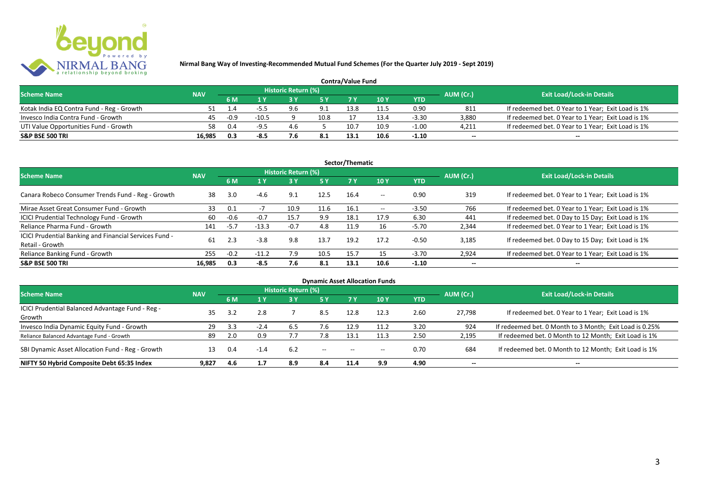

| <b>Contra/Value Fund</b>                  |            |           |                                  |     |      |      |      |         |        |                                                    |  |  |  |  |
|-------------------------------------------|------------|-----------|----------------------------------|-----|------|------|------|---------|--------|----------------------------------------------------|--|--|--|--|
| <b>Scheme Name</b>                        | <b>NAV</b> | AUM (Cr.) | <b>Exit Load/Lock-in Details</b> |     |      |      |      |         |        |                                                    |  |  |  |  |
|                                           |            | 6 M       |                                  |     |      |      | 10 Y | YTD     |        |                                                    |  |  |  |  |
| Kotak India EQ Contra Fund - Reg - Growth |            |           |                                  |     | 9.1  | 13.8 |      | 0.90    | 811    | If redeemed bet. 0 Year to 1 Year; Exit Load is 1% |  |  |  |  |
| Invesco India Contra Fund - Growth        | 45         | $-0.9$    | $-10.5$                          |     | 10.8 |      | 13.4 | $-3.30$ | 3.880  | If redeemed bet. 0 Year to 1 Year; Exit Load is 1% |  |  |  |  |
| UTI Value Opportunities Fund - Growth     | 58         | 0.4       | $-9.5$                           | 4.b |      | 10.7 | 10.9 | $-1.00$ | 4,211  | If redeemed bet. 0 Year to 1 Year; Exit Load is 1% |  |  |  |  |
| S&P BSE 500 TRI                           | 16.985     | 0.3       | -8.5                             |     |      |      | 10.6 | $-1.10$ | $\sim$ | $\qquad \qquad$                                    |  |  |  |  |

|                                                                           |            |        |         |                     |           | Sector/Thematic |       |            |                          |                                                    |
|---------------------------------------------------------------------------|------------|--------|---------|---------------------|-----------|-----------------|-------|------------|--------------------------|----------------------------------------------------|
| <b>Scheme Name</b>                                                        | <b>NAV</b> |        |         | Historic Return (%) |           |                 |       |            | AUM (Cr.)                | <b>Exit Load/Lock-in Details</b>                   |
|                                                                           |            | 6 M    | 4 Y     |                     | <b>5Y</b> | <b>7Y</b>       | 10Y   | <b>YTD</b> |                          |                                                    |
| Canara Robeco Consumer Trends Fund - Reg - Growth                         | 38         | 3.0    | $-4.6$  | 9.1                 | 12.5      | 16.4            | $- -$ | 0.90       | 319                      | If redeemed bet. 0 Year to 1 Year; Exit Load is 1% |
| Mirae Asset Great Consumer Fund - Growth                                  | 33         | 0.1    |         | 10.9                | 11.6      | 16.1            | $- -$ | $-3.50$    | 766                      | If redeemed bet. 0 Year to 1 Year; Exit Load is 1% |
| ICICI Prudential Technology Fund - Growth                                 | 60         | $-0.6$ | $-0.7$  | 15.7                | 9.9       | 18.1            | 17.9  | 6.30       | 441                      | If redeemed bet. 0 Day to 15 Day; Exit Load is 1%  |
| Reliance Pharma Fund - Growth                                             | 141        | $-5.7$ | $-13.3$ | $-0.7$              | 4.8       | 11.9            | 16    | -5.70      | 2,344                    | If redeemed bet. 0 Year to 1 Year; Exit Load is 1% |
| ICICI Prudential Banking and Financial Services Fund -<br>Retail - Growth | 61         | 2.3    | $-3.8$  | 9.8                 | 13.7      | 19.2            | 17.2  | $-0.50$    | 3.185                    | If redeemed bet. 0 Day to 15 Day; Exit Load is 1%  |
| Reliance Banking Fund - Growth                                            | 255        | $-0.2$ | $-11.2$ | 7.9                 | 10.5      | 15.7            | 15    | $-3.70$    | 2,924                    | If redeemed bet. 0 Year to 1 Year; Exit Load is 1% |
| <b>S&amp;P BSE 500 TRI</b>                                                | 16,985     | 0.3    | -8.5    | 7.6                 | 8.1       | 13.1            | 10.6  | $-1.10$    | $\overline{\phantom{a}}$ | $- -$                                              |

| <b>Dynamic Asset Allocation Funds</b>            |            |     |        |                            |                                       |                                       |       |            |                          |                                                         |  |  |  |  |
|--------------------------------------------------|------------|-----|--------|----------------------------|---------------------------------------|---------------------------------------|-------|------------|--------------------------|---------------------------------------------------------|--|--|--|--|
| Scheme Name                                      | <b>NAV</b> |     |        | <b>Historic Return (%)</b> |                                       |                                       |       |            | AUM (Cr.)                | <b>Exit Load/Lock-in Details</b>                        |  |  |  |  |
|                                                  |            | 6 M | 1 Y    | 3 Y                        | 5 Y                                   |                                       | 10 Y  | <b>YTD</b> |                          |                                                         |  |  |  |  |
| ICICI Prudential Balanced Advantage Fund - Reg - | 35         |     | 2.8    |                            | 8.5                                   |                                       |       | 2.60       |                          |                                                         |  |  |  |  |
| Growth                                           |            | 3.2 |        |                            |                                       | 12.8                                  | 12.3  |            | 27.798                   | If redeemed bet. 0 Year to 1 Year; Exit Load is 1%      |  |  |  |  |
| Invesco India Dynamic Equity Fund - Growth       | 29         | 3.3 | $-2.4$ | b.5                        |                                       | 12.9                                  |       | 3.20       | 924                      | If redeemed bet. 0 Month to 3 Month; Exit Load is 0.25% |  |  |  |  |
| Reliance Balanced Advantage Fund - Growth        | 89         | 2.0 | 0.9    |                            | 7.8                                   | 13.1                                  |       | 2.50       | 2,195                    | If redeemed bet. 0 Month to 12 Month; Exit Load is 1%   |  |  |  |  |
| SBI Dynamic Asset Allocation Fund - Reg - Growth |            | 0.4 | $-1.4$ | 6.2                        | $\hspace{0.05cm}$ – $\hspace{0.05cm}$ | $\hspace{0.05cm}$ – $\hspace{0.05cm}$ | $- -$ | 0.70       | 684                      | If redeemed bet. 0 Month to 12 Month; Exit Load is 1%   |  |  |  |  |
| NIFTY 50 Hybrid Composite Debt 65:35 Index       | 9.827      | 4.6 | 1.7    | 8.9                        | 8.4                                   | 11.4                                  | 9.9   | 4.90       | $\overline{\phantom{a}}$ | $- -$                                                   |  |  |  |  |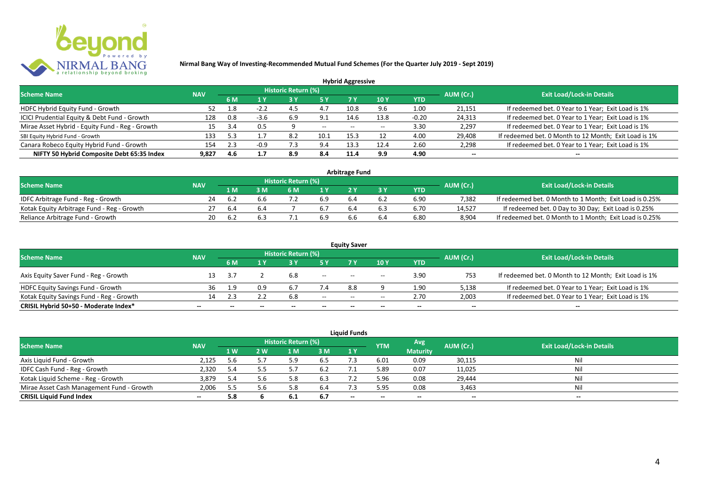

|                                                 |            |     |        |                            |       | <b>Hybrid Aggressive</b> |                 |         |                          |                                                       |
|-------------------------------------------------|------------|-----|--------|----------------------------|-------|--------------------------|-----------------|---------|--------------------------|-------------------------------------------------------|
| <b>Scheme Name</b>                              | <b>NAV</b> |     |        | <b>Historic Return (%)</b> |       |                          |                 |         | AUM (Cr.)                | <b>Exit Load/Lock-in Details</b>                      |
|                                                 |            | 6 M | 1 Y    |                            |       |                          | 10 <sub>Y</sub> | YTD     |                          |                                                       |
| HDFC Hybrid Equity Fund - Growth                |            | 1.8 | $-2.2$ | 4.5                        |       | 10.8                     | 9.6             | 1.00    | 21,151                   | If redeemed bet. 0 Year to 1 Year; Exit Load is 1%    |
| ICICI Prudential Equity & Debt Fund - Growth    | 128        | 0.8 | $-3.6$ | 6.9                        | 9.1   | 14.6                     | 13.8            | $-0.20$ | 24,313                   | If redeemed bet. 0 Year to 1 Year; Exit Load is 1%    |
| Mirae Asset Hybrid - Equity Fund - Reg - Growth | 15         | 3.4 | 0.5    |                            | $- -$ | $- -$                    |                 | 3.30    | 2,297                    | If redeemed bet. 0 Year to 1 Year; Exit Load is 1%    |
| SBI Equity Hybrid Fund - Growth                 | 133        | 5.3 |        | 8.2                        | 10.1  | 15.3                     |                 | 4.00    | 29,408                   | If redeemed bet. 0 Month to 12 Month; Exit Load is 1% |
| Canara Robeco Equity Hybrid Fund - Growth       | 154        |     | -0.9   |                            | 9.4   | 13.3                     | 12.4            | 2.60    | 2,298                    | If redeemed bet. 0 Year to 1 Year; Exit Load is 1%    |
| NIFTY 50 Hybrid Composite Debt 65:35 Index      | 9.827      | 4.6 | 1.7    | 8.9                        | 8.4   | 11.4                     | 9.9             | 4.90    | $\overline{\phantom{a}}$ | $\overline{\phantom{a}}$                              |

| <b>Arbitrage Fund</b>                      |            |     |     |                     |     |  |     |            |           |                                                         |  |  |  |
|--------------------------------------------|------------|-----|-----|---------------------|-----|--|-----|------------|-----------|---------------------------------------------------------|--|--|--|
| <b>Scheme Name</b>                         | <b>NAV</b> |     |     | Historic Return (%) |     |  |     |            | AUM (Cr.) | <b>Exit Load/Lock-in Details</b>                        |  |  |  |
|                                            |            | 1 M |     | 6 M                 |     |  |     | <b>YTD</b> |           |                                                         |  |  |  |
| IDFC Arbitrage Fund - Reg - Growth         | 24         |     |     |                     | 6.9 |  | 6.2 | 6.90       | 7.382     | If redeemed bet. 0 Month to 1 Month; Exit Load is 0.25% |  |  |  |
| Kotak Equity Arbitrage Fund - Reg - Growth |            | 6.4 | 6.4 |                     |     |  | 6.3 | 6.70       | 14.527    | If redeemed bet. 0 Day to 30 Day; Exit Load is 0.25%    |  |  |  |
| Reliance Arbitrage Fund - Growth           | 20         |     |     |                     | 6.9 |  | 6.4 | 6.80       | 8.904     | If redeemed bet. 0 Month to 1 Month; Exit Load is 0.25% |  |  |  |

|                                          |                          |              |       |                     |        | <b>Equity Saver</b> |                                       |                          |                          |                                                       |
|------------------------------------------|--------------------------|--------------|-------|---------------------|--------|---------------------|---------------------------------------|--------------------------|--------------------------|-------------------------------------------------------|
| <b>Scheme Name</b>                       | <b>NAV</b>               |              |       | Historic Return (%) |        |                     |                                       |                          | AUM (Cr.)                | <b>Exit Load/Lock-in Details</b>                      |
|                                          |                          | 6 M          |       |                     |        |                     | 10 Y                                  | <b>YTD</b>               |                          |                                                       |
| Axis Equity Saver Fund - Reg - Growth    |                          |              |       | 6.8                 | $- -$  | $- -$               | $\overline{\phantom{a}}$              | 3.90                     | 753                      | If redeemed bet. 0 Month to 12 Month; Exit Load is 1% |
| HDFC Equity Savings Fund - Growth        | 36                       | 1.9          | 0.9   |                     | 7.4    | 8.8                 |                                       | 1.90                     | 5,138                    | If redeemed bet. 0 Year to 1 Year; Exit Load is 1%    |
| Kotak Equity Savings Fund - Reg - Growth |                          | 2.3          |       | 6.8                 | $- -$  | $- -$               | $\hspace{0.05cm}$ – $\hspace{0.05cm}$ | 2.70                     | 2,003                    | If redeemed bet. 0 Year to 1 Year; Exit Load is 1%    |
| CRISIL Hybrid 50+50 - Moderate Index*    | $\overline{\phantom{a}}$ | $\mathbf{m}$ | $- -$ | $- -$               | $\sim$ | $- -$               | $\overline{\phantom{a}}$              | $\overline{\phantom{a}}$ | $\overline{\phantom{a}}$ | $- -$                                                 |

| <b>Liquid Funds</b>                       |            |      |     |                     |     |       |            |                          |           |                                  |  |  |  |
|-------------------------------------------|------------|------|-----|---------------------|-----|-------|------------|--------------------------|-----------|----------------------------------|--|--|--|
| <b>Scheme Name</b>                        | <b>NAV</b> |      |     | Historic Return (%) |     |       | <b>YTM</b> | Avg                      | AUM (Cr.) | <b>Exit Load/Lock-in Details</b> |  |  |  |
|                                           |            | 1 W. | 2 W | 1 M                 | 3 M | 1Y    |            | <b>Maturity</b>          |           |                                  |  |  |  |
| Axis Liquid Fund - Growth                 | 2,125      | 5.6  |     |                     | 6.5 |       | 6.01       | 0.09                     | 30,115    | Nil                              |  |  |  |
| IDFC Cash Fund - Reg - Growth             | 2,320      | 5.4  |     |                     | 6.2 |       | 5.89       | 0.07                     | 11,025    | Nil                              |  |  |  |
| Kotak Liquid Scheme - Reg - Growth        | 3,879      | 5.4  |     | 5.8                 | 6.3 |       | 5.96       | 0.08                     | 29,444    | Nil                              |  |  |  |
| Mirae Asset Cash Management Fund - Growth | 2,006      | 5.5  |     | 5.8                 | 6.4 |       | 5.95       | 0.08                     | 3,463     | Nil                              |  |  |  |
| <b>CRISIL Liquid Fund Index</b>           | $\sim$     | 5.8  |     | 6.1                 | 6.7 | $- -$ | $- -$      | $\overline{\phantom{a}}$ | --        | $- -$                            |  |  |  |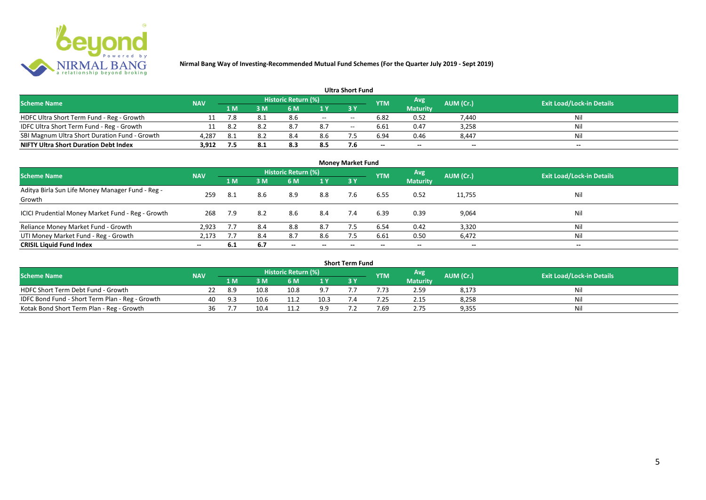

| <b>Ultra Short Fund</b>                       |            |       |     |                     |       |                          |            |                 |                          |                                  |  |  |  |  |
|-----------------------------------------------|------------|-------|-----|---------------------|-------|--------------------------|------------|-----------------|--------------------------|----------------------------------|--|--|--|--|
| <b>Scheme Name</b>                            | <b>NAV</b> |       |     | Historic Return (%) |       |                          | <b>YTM</b> | Avg             | AUM (Cr.)                | <b>Exit Load/Lock-in Details</b> |  |  |  |  |
|                                               |            | 1 M . | 3 M | 6 M                 |       |                          |            | <b>Maturity</b> |                          |                                  |  |  |  |  |
| HDFC Ultra Short Term Fund - Reg - Growth     |            | 7.8   |     | 8.6                 | $- -$ | $- -$                    | 6.82       | 0.52            | 7.440                    | Nil                              |  |  |  |  |
| IDFC Ultra Short Term Fund - Reg - Growth     |            | 8.2   |     | 8.7                 | 8.7   | $\hspace{0.05cm} \ldots$ | 6.61       | 0.47            | 3,258                    | Nil                              |  |  |  |  |
| SBI Magnum Ultra Short Duration Fund - Growth | 4.287      | -8.1  |     |                     | 8.6   |                          | 6.94       | 0.46            | 8.447                    | Nil                              |  |  |  |  |
| <b>NIFTY Ultra Short Duration Debt Index</b>  | 3.912      | 7.5   |     | 8.3                 | 8.5   |                          | $-$        | $-$             | $\overline{\phantom{a}}$ | $\overline{\phantom{a}}$         |  |  |  |  |

| <b>Money Market Fund</b>                                   |            |     |     |                            |                          |           |            |                        |                          |                                  |  |  |  |
|------------------------------------------------------------|------------|-----|-----|----------------------------|--------------------------|-----------|------------|------------------------|--------------------------|----------------------------------|--|--|--|
| <b>Scheme Name</b>                                         | <b>NAV</b> |     |     | <b>Historic Return (%)</b> |                          |           | <b>YTM</b> | Avg<br><b>Maturity</b> | AUM (Cr.)                | <b>Exit Load/Lock-in Details</b> |  |  |  |
|                                                            |            | 1 M | 3M  | 6 M                        | 1Y                       | <b>3Y</b> |            |                        |                          |                                  |  |  |  |
| Aditya Birla Sun Life Money Manager Fund - Reg -<br>Growth | 259        | 8.1 | 8.6 | 8.9                        | 8.8                      | 7.6       | 6.55       | 0.52                   | 11,755                   | Nil                              |  |  |  |
| ICICI Prudential Money Market Fund - Reg - Growth          | 268        | 7.9 | 8.2 | 8.6                        | 8.4                      | 7.4       | 6.39       | 0.39                   | 9,064                    | Nil                              |  |  |  |
| Reliance Money Market Fund - Growth                        | 2,923      | 7.7 | 8.4 | 8.8                        | 8.7                      |           | 6.54       | 0.42                   | 3,320                    | Nil                              |  |  |  |
| UTI Money Market Fund - Reg - Growth                       | 2,173      | 7.7 | 8.4 | 8.7                        | 8.6                      | 7.5       | 6.61       | 0.50                   | 6,472                    | Nil                              |  |  |  |
| <b>CRISIL Liquid Fund Index</b>                            | $- -$      | 6.1 | 6.7 | $\overline{\phantom{a}}$   | $\overline{\phantom{a}}$ | $\!-$     | $\!-$      | $\sim$                 | $\overline{\phantom{a}}$ | $\overline{\phantom{a}}$         |  |  |  |

| <b>Short Term Fund</b>                          |            |     |      |                     |      |  |            |                 |           |                                  |  |  |  |  |
|-------------------------------------------------|------------|-----|------|---------------------|------|--|------------|-----------------|-----------|----------------------------------|--|--|--|--|
| <b>Scheme Name</b>                              | <b>NAV</b> |     |      | Historic Return (%) |      |  | <b>YTM</b> | <b>Avg</b>      | AUM (Cr.) | <b>Exit Load/Lock-in Details</b> |  |  |  |  |
|                                                 |            | 1 M |      | 5 M                 |      |  |            | <b>Maturity</b> |           |                                  |  |  |  |  |
| HDFC Short Term Debt Fund - Growth              |            | 8.9 | 10.8 | 10.8                | 9.7  |  | .73        | 2.59            | 8,173     | Nil                              |  |  |  |  |
| IDFC Bond Fund - Short Term Plan - Reg - Growth | 40         | 9.3 | 10.6 | 11.2                | 10.3 |  | .25        | 2.15            | 8,258     | Nil                              |  |  |  |  |
| Kotak Bond Short Term Plan - Reg - Growth       | 36         |     | 10.4 | 11.2                | 99   |  | 7.69       | 2.75            | 9,355     | Nil                              |  |  |  |  |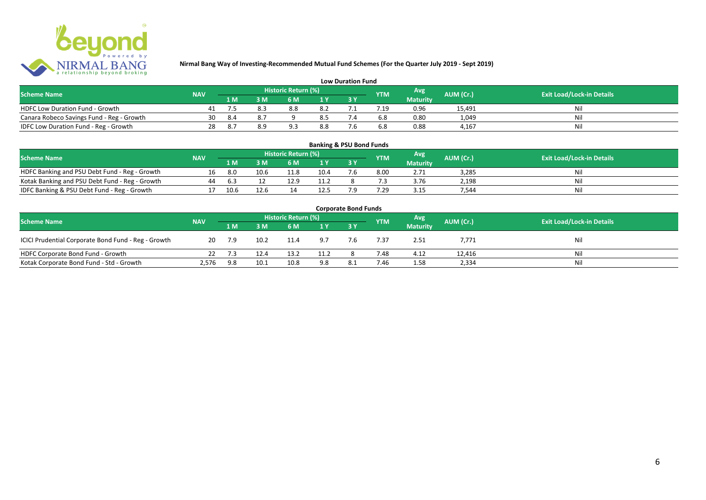

| <b>Low Duration Fund</b>                  |            |     |     |                     |     |  |            |                 |           |                                  |  |  |  |  |
|-------------------------------------------|------------|-----|-----|---------------------|-----|--|------------|-----------------|-----------|----------------------------------|--|--|--|--|
| <b>Scheme Name</b>                        | <b>NAV</b> |     |     | Historic Return (%) |     |  | <b>YTM</b> | Avg             | AUM (Cr.) | <b>Exit Load/Lock-in Details</b> |  |  |  |  |
|                                           |            | 1 M |     | 6 M.                |     |  |            | <b>Maturity</b> |           |                                  |  |  |  |  |
| <b>HDFC Low Duration Fund - Growth</b>    |            |     | 8.3 | 8.8                 | 8.2 |  | .19        | 0.96            | 15,491    | Nli                              |  |  |  |  |
| Canara Robeco Savings Fund - Reg - Growth | 30         | 8.4 |     |                     | 8.5 |  | 6.8        | 0.80            | 1,049     | Ni                               |  |  |  |  |
| IDFC Low Duration Fund - Reg - Growth     | 28         |     |     |                     | 8.8 |  | 6.8        | 0.88            | 4.167     | -Ni                              |  |  |  |  |

#### **1 M 3 M 6 M 1 Y 3 Y** NOFC Banking and PSU Debt Fund - Reg - Growth 16 8.0 10.6 11.8 10.4 7.6 8.00 2.71 3,285 Nil<br>
Kotak Banking and PSU Debt Fund - Reg - Growth 44 6.3 12 12.9 11.2 8 7.3 3.76 2,198 Nil Kotak Banking and PSU Debt Fund - Reg - Growth 44 6.3 12 12.9 11.2 8 7.3 3.76 2,198 Nil IDFC Banking & PSU Debt Fund - Reg - Growth 17 10.6 12.6 14 12.5 7.9 7.29 3.15 7,544 Nil **Banking & PSU Bond Funds Scheme Name NAV REGISTER AUM (Cr.) AUM (Cr.)** Exit Load/Lock-in Details **Historic Return (%) Maturity**

| <b>Corporate Bond Funds</b>                         |            |        |      |      |      |     |            |                 |           |                                  |  |  |  |  |
|-----------------------------------------------------|------------|--------|------|------|------|-----|------------|-----------------|-----------|----------------------------------|--|--|--|--|
| <b>Scheme Name</b>                                  | <b>NAV</b> |        |      |      |      |     | <b>YTM</b> | <b>Avg</b>      | AUM (Cr.) | <b>Exit Load/Lock-in Details</b> |  |  |  |  |
|                                                     |            | /1 M / | 3 M  | 6 M  | 1Y   |     |            | <b>Maturity</b> |           |                                  |  |  |  |  |
| ICICI Prudential Corporate Bond Fund - Reg - Growth | 20         | 7.9    | 10.2 | 11.4 | 9.7  | 7.6 | 7.37       | 2.51            | 7,771     | Nil                              |  |  |  |  |
| HDFC Corporate Bond Fund - Growth                   |            | 7.3    | 12.4 | 13.2 | 11.2 |     | 7.48       | 4.12            | 12,416    | Ni                               |  |  |  |  |
| Kotak Corporate Bond Fund - Std - Growth            | 2,576      | 9.8    | 10.1 | 10.8 | 9.8  | 8.1 | 7.46       | 1.58            | 2,334     | Ni                               |  |  |  |  |